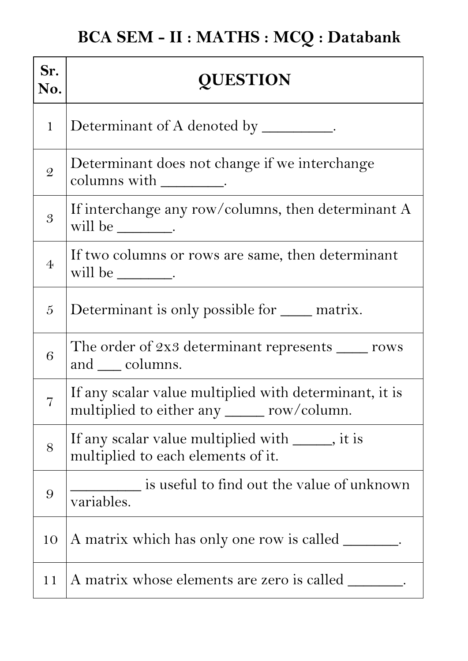| Sr.<br>No.     | <b>QUESTION</b>                                                                                       |
|----------------|-------------------------------------------------------------------------------------------------------|
| $\mathbf{1}$   | Determinant of A denoted by __________.                                                               |
| $\mathcal{Q}$  | Determinant does not change if we interchange<br>columns with __________.                             |
| $\overline{3}$ | If interchange any row/columns, then determinant A<br>will be _________.                              |
| $\overline{4}$ | If two columns or rows are same, then determinant<br>will be _________.                               |
| $\overline{5}$ | Determinant is only possible for <u>___</u> matrix.                                                   |
| 6              | The order of $2x3$ determinant represents $\_\_\_\_$ rows<br>and ___ columns.                         |
|                | If any scalar value multiplied with determinant, it is<br>multiplied to either any ______ row/column. |
| 8              | If any scalar value multiplied with ______, it is<br>multiplied to each elements of it.               |
| 9              | $\equiv$ is useful to find out the value of unknown<br>variables.                                     |
| 10             | A matrix which has only one row is called ________.                                                   |
| 11             | A matrix whose elements are zero is called ________.                                                  |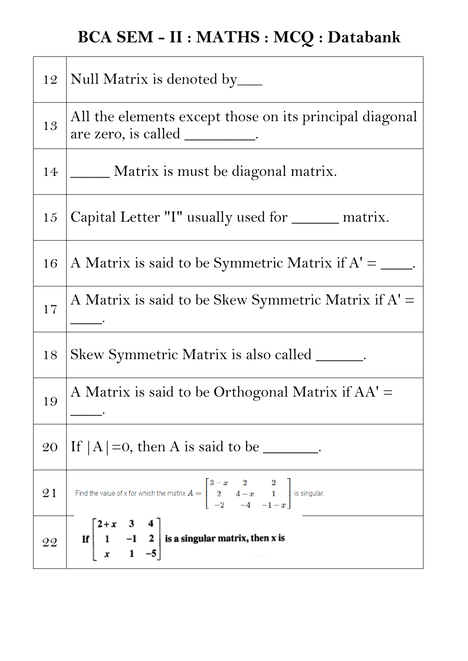| 12 | Null Matrix is denoted by______                                                                                                        |
|----|----------------------------------------------------------------------------------------------------------------------------------------|
| 13 | All the elements except those on its principal diagonal                                                                                |
| 14 | _ Matrix is must be diagonal matrix.                                                                                                   |
| 15 | Capital Letter "I" usually used for ______ matrix.                                                                                     |
| 16 | A Matrix is said to be Symmetric Matrix if $A' = \underline{\hspace{2cm}}$ .                                                           |
| 17 | A Matrix is said to be Skew Symmetric Matrix if $A' =$                                                                                 |
| 18 | Skew Symmetric Matrix is also called _______.                                                                                          |
| 19 | A Matrix is said to be Orthogonal Matrix if AA' =                                                                                      |
| 20 | If $ A  = 0$ , then A is said to be ________.                                                                                          |
| 21 | Find the value of x for which the matrix $A = \begin{bmatrix} 3-x & 2 & 2 \\ 2 & 4-x & 1 \\ -2 & -4 & -1-x \end{bmatrix}$ is singular. |
| 22 | If $\begin{bmatrix} 2+x & 3 & 4 \\ 1 & -1 & 2 \\ x & 1 & -5 \end{bmatrix}$ is a singular matrix, then x is                             |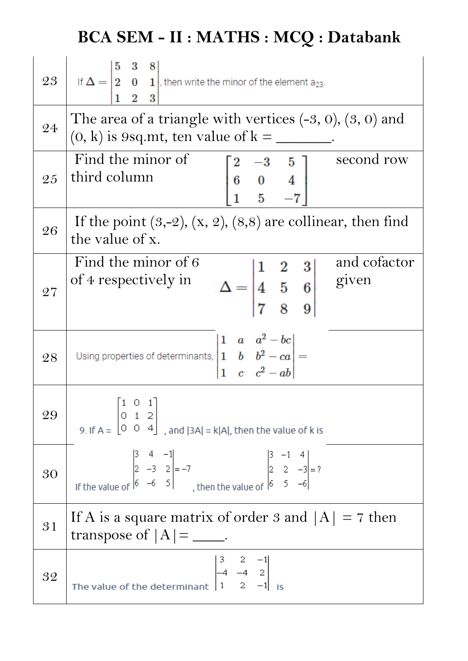| 23 | If $\Delta = \begin{vmatrix} 5 & 3 & 8 \\ 2 & 0 & 1 \end{vmatrix}$ , then write the minor of the element a <sub>23</sub> .<br>2 3                                                                                                                       |
|----|---------------------------------------------------------------------------------------------------------------------------------------------------------------------------------------------------------------------------------------------------------|
| 24 | The area of a triangle with vertices $(-3, 0)$ , $(3, 0)$ and<br>$(0, k)$ is 9sq.mt, ten value of $k = \underline{\ }$                                                                                                                                  |
| 25 | Find the minor of<br>second row<br>$\begin{bmatrix} 2 & -3 & 5 \\ 6 & 0 & 4 \\ 1 & 5 & -7 \end{bmatrix}$<br>third column                                                                                                                                |
| 26 | If the point $(3,-2)$ , $(x, 2)$ , $(8,8)$ are collinear, then find<br>the value of x.                                                                                                                                                                  |
| 27 | Find the minor of 6<br>and cofactor<br>$\Delta = \begin{vmatrix} 1 & 2 & 3 \\ 4 & 5 & 6 \\ 7 & 8 & 0 \end{vmatrix}$ and computed and contract and contract of the same stress.<br>of 4 respectively in                                                  |
| 28 | Using properties of determinants, $\begin{vmatrix} 1 & a & a^2 - bc \\ 1 & b & b^2 - ca \\ 1 & c & c^2 - ab \end{vmatrix} =$                                                                                                                            |
| 29 | $\begin{bmatrix} 1 & 0 & 1 \end{bmatrix}$<br>9. If $A = \begin{bmatrix} 0 & 1 & 2 \\ 0 & 0 & 4 \end{bmatrix}$ , and $ 3A  = k A $ , then the value of k is                                                                                              |
| 30 | If the value of $\begin{vmatrix} 5 & 4 & -1 \\ 2 & -3 & 2 \\ 6 & -6 & 5 \end{vmatrix} = -7$<br>$\begin{vmatrix} 5 & -1 & 4 \\ 2 & 2 & -3 \\ 1 & 2 & -5 \end{vmatrix} = ?$<br>$\begin{vmatrix} 5 & -1 & 4 \\ 2 & 2 & -3 \\ 6 & 5 & -6 \end{vmatrix} = ?$ |
| 31 | If A is a square matrix of order 3 and $ A  = 7$ then<br>transpose of $ A  =$ _____.                                                                                                                                                                    |
| 32 | The value of the determinant $\begin{vmatrix} 3 & 2 & -1 \\ -4 & -4 & 2 \\ 1 & 2 & -1 \end{vmatrix}$                                                                                                                                                    |